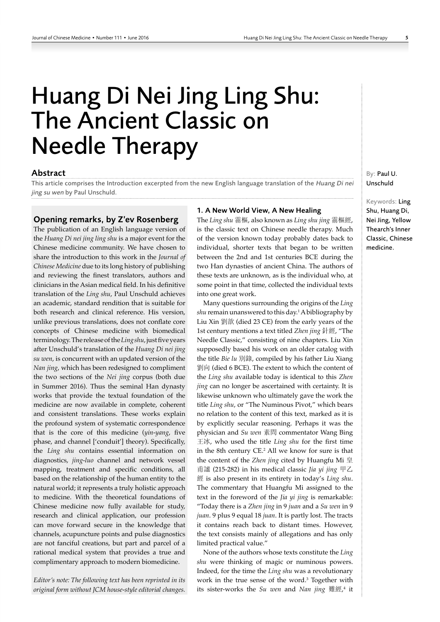# Huang Di Nei Jing Ling Shu: The Ancient Classic on Needle Therapy

# Abstract

This article comprises the Introduction excerpted from the new English language translation of the Huang Di nei jing su wen by Paul Unschuld.

# Opening remarks, by Z'ev Rosenberg

The publication of an English language version of the *Huang Di nei jing ling shu* is a major event for the Chinese medicine community. We have chosen to share the introduction to this work in the *Journal of Chinese Medicine* due to its long history of publishing and reviewing the finest translators, authors and clinicians in the Asian medical field. In his definitive translation of the *Ling shu*, Paul Unschuld achieves an academic, standard rendition that is suitable for both research and clinical reference. His version, unlike previous translations, does not conflate core concepts of Chinese medicine with biomedical terminology. The release of the *Ling shu*, just five years after Unschuld's translation of the *Huang Di nei jing su wen*, is concurrent with an updated version of the *Nan jing*, which has been redesigned to compliment the two sections of the *Nei jing* corpus (both due in Summer 2016). Thus the seminal Han dynasty works that provide the textual foundation of the medicine are now available in complete, coherent and consistent translations. These works explain the profound system of systematic correspondence that is the core of this medicine (*yin-yang*, five phase, and channel ['conduit'] theory). Specifically, the *Ling shu* contains essential information on diagnostics, *jing-luo* channel and network vessel mapping, treatment and specific conditions, all based on the relationship of the human entity to the natural world; it represents a truly holistic approach to medicine. With the theoretical foundations of Chinese medicine now fully available for study, research and clinical application, our profession can move forward secure in the knowledge that channels, acupuncture points and pulse diagnostics are not fanciful creations, but part and parcel of a rational medical system that provides a true and complimentary approach to modern biomedicine.

*Editor's note: The following text has been reprinted in its original form without JCM house-style editorial changes.* 

# 1. A New World View, A New Healing

The *Ling shu* 霛樞, also known as *Ling shu jing* 霛樞經, is the classic text on Chinese needle therapy. Much of the version known today probably dates back to individual, shorter texts that began to be written between the 2nd and 1st centuries BCE during the two Han dynasties of ancient China. The authors of these texts are unknown, as is the individual who, at some point in that time, collected the individual texts into one great work.

Many questions surrounding the origins of the *Ling shu* remain unanswered to this day.1 A bibliography by Liu Xin 劉歆 (died 23 CE) from the early years of the 1st century mentions a text titled *Zhen jing* 針經, "The Needle Classic," consisting of nine chapters. Liu Xin supposedly based his work on an older catalog with the title *Bie lu* 別錄, compiled by his father Liu Xiang 劉向 (died 6 BCE). The extent to which the content of the *Ling shu* available today is identical to this *Zhen jing* can no longer be ascertained with certainty. It is likewise unknown who ultimately gave the work the title *Ling shu*, or "The Numinous Pivot," which bears no relation to the content of this text, marked as it is by explicitly secular reasoning. Perhaps it was the physician and *Su wen* 素問 commentator Wang Bing 王冰, who used the title *Ling shu* for the first time in the 8th century CE.2 All we know for sure is that the content of the *Zhen jing* cited by Huangfu Mi 皇 甫謐 (215-282) in his medical classic *Jia yi jing* 甲乙 經 is also present in its entirety in today's *Ling shu*. The commentary that Huangfu Mi assigned to the text in the foreword of the *Jia yi jing* is remarkable: "Today there is a *Zhen jing* in 9 *juan* and a *Su wen* in 9 *juan*. 9 plus 9 equal 18 *juan*. It is partly lost. The tracts it contains reach back to distant times. However, the text consists mainly of allegations and has only limited practical value."

None of the authors whose texts constitute the *Ling shu* were thinking of magic or numinous powers. Indeed, for the time the *Ling shu* was a revolutionary work in the true sense of the word.<sup>3</sup> Together with its sister-works the *Su wen* and *Nan jing* 難經, 4 it

By: Paul U. Unschuld

Keywords: Ling Shu, Huang Di, Nei Jing, Yellow Thearch's Inner Classic, Chinese medicine.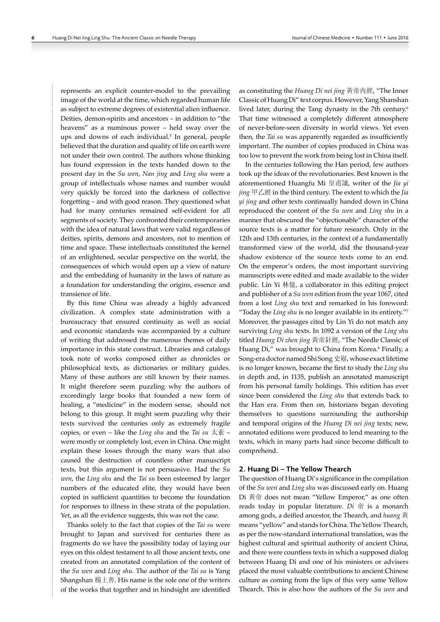represents an explicit counter-model to the prevailing image of the world at the time, which regarded human life as subject to extreme degrees of existential alien influence. Deities, demon-spirits and ancestors – in addition to "the heavens" as a numinous power – held sway over the ups and downs of each individual.<sup>5</sup> In general, people believed that the duration and quality of life on earth were not under their own control. The authors whose thinking has found expression in the texts handed down to the present day in the *Su wen*, *Nan jing* and *Ling shu* were a group of intellectuals whose names and number would very quickly be forced into the darkness of collective forgetting – and with good reason. They questioned what had for many centuries remained self-evident for all segments of society. They confronted their contemporaries with the idea of natural laws that were valid regardless of deities, spirits, demons and ancestors, not to mention of time and space. These intellectuals constituted the kernel of an enlightened, secular perspective on the world, the consequences of which would open up a view of nature and the embedding of humanity in the laws of nature as a foundation for understanding the origins, essence and transience of life.

By this time China was already a highly advanced civilization. A complex state administration with a bureaucracy that ensured continuity as well as social and economic standards was accompanied by a culture of writing that addressed the numerous themes of daily importance in this state construct. Libraries and catalogs took note of works composed either as chronicles or philosophical texts, as dictionaries or military guides. Many of these authors are still known by their names. It might therefore seem puzzling why the authors of exceedingly large books that founded a new form of healing, a "medicine" in the modern sense, should not belong to this group. It might seem puzzling why their texts survived the centuries only as extremely fragile copies, or even – like the *Ling shu* and the *Tai su* 太素 – were mostly or completely lost, even in China. One might explain these losses through the many wars that also caused the destruction of countless other manuscript texts, but this argument is not persuasive. Had the *Su wen*, the *Ling shu* and the *Tai su* been esteemed by larger numbers of the educated elite, they would have been copied in sufficient quantities to become the foundation for responses to illness in these strata of the population. Yet, as all the evidence suggests, this was not the case.

Thanks solely to the fact that copies of the *Tai su* were brought to Japan and survived for centuries there as fragments do we have the possibility today of laying our eyes on this oldest testament to all those ancient texts, one created from an annotated compilation of the content of the *Su wen* and *Ling shu.* The author of the *Tai su* is Yang Shangshan 楊上善. His name is the sole one of the writers of the works that together and in hindsight are identified

as constituting the *Huang Di nei jing* 黃帝内經, "The Inner Classic of Huang Di" text corpus. However, Yang Shanshan lived later, during the Tang dynasty in the 7th century.<sup>6</sup> That time witnessed a completely different atmosphere of never-before-seen diversity in world views. Yet even then, the *Tai su* was apparently regarded as insufficiently important. The number of copies produced in China was too low to prevent the work from being lost in China itself.

In the centuries following the Han period, few authors took up the ideas of the revolutionaries. Best known is the aforementioned Huangfu Mi 皇甫謐, writer of the *Jia yi jing* 甲乙經 in the third century. The extent to which the *Jia yi jing* and other texts continually handed down in China reproduced the content of the *Su wen* and *Ling shu* in a manner that obscured the "objectionable" character of the source texts is a matter for future research. Only in the 12th and 13th centuries, in the context of a fundamentally transformed view of the world, did the thousand-year shadow existence of the source texts come to an end. On the emperor's orders, the most important surviving manuscripts were edited and made available to the wider public. Lin Yi 林億, a collaborator in this editing project and publisher of a *Su wen* edition from the year 1067, cited from a lost *Ling shu* text and remarked in his foreword: "Today the *Ling shu* is no longer available in its entirety."7 Moreover, the passages cited by Lin Yi do not match any surviving *Ling shu* texts. In 1092 a version of the *Ling shu* titled *Huang Di zhen jing* 黄帝針經, "The Needle Classic of Huang Di," was brought to China from Korea.<sup>8</sup> Finally, a Song-era doctor named Shi Song 史崧, whose exact lifetime is no longer known, became the first to study the *Ling shu* in depth and, in 1135, publish an annotated manuscript from his personal family holdings. This edition has ever since been considered the *Ling shu* that extends back to the Han era. From then on, historians began devoting themselves to questions surrounding the authorship and temporal origins of the *Huang Di nei jing* texts; new, annotated editions were produced to lend meaning to the texts, which in many parts had since become difficult to comprehend.

#### 2. Huang Di – The Yellow Thearch

The question of Huang Di's significance in the compilation of the *Su wen* and *Ling shu* was discussed early on. Huang Di 黃帝 does not mean "Yellow Emperor," as one often reads today in popular literature. *Di* 帝 is a monarch among gods, a deified ancestor, the Thearch, and *huang* 黃 means "yellow" and stands for China. The Yellow Thearch, as per the now-standard international translation, was the highest cultural and spiritual authority of ancient China, and there were countless texts in which a supposed dialog between Huang Di and one of his ministers or advisers placed the most valuable contributions to ancient Chinese culture as coming from the lips of this very same Yellow Thearch. This is also how the authors of the *Su wen* and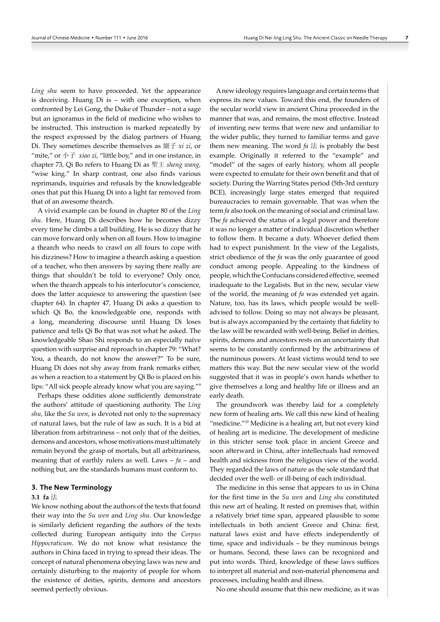*Ling shu* seem to have proceeded. Yet the appearance is deceiving. Huang Di is – with one exception, when confronted by Lei Gong, the Duke of Thunder – not a sage but an ignoramus in the field of medicine who wishes to be instructed. This instruction is marked repeatedly by the respect expressed by the dialog partners of Huang Di. They sometimes describe themselves as 細子 *xi zi*, or "mite," or  $\triangle \neq$  *xiao zi*, "little boy," and in one instance, in chapter 73, Qi Bo refers to Huang Di as 聖王 *sheng wang*, "wise king." In sharp contrast, one also finds various reprimands, inquiries and refusals by the knowledgeable ones that put this Huang Di into a light far removed from that of an awesome thearch.

A vivid example can be found in chapter 80 of the *Ling shu*. Here, Huang Di describes how he becomes dizzy every time he climbs a tall building. He is so dizzy that he can move forward only when on all fours. How to imagine a thearch who needs to crawl on all fours to cope with his dizziness? How to imagine a thearch asking a question of a teacher, who then answers by saying there really are things that shouldn't be told to everyone? Only once, when the thearch appeals to his interlocutor's conscience, does the latter acquiesce to answering the question (see chapter 64). In chapter 47, Huang Di asks a question to which Qi Bo, the knowledgeable one, responds with a long, meandering discourse until Huang Di loses patience and tells Qi Bo that was not what he asked. The knowledgeable Shao Shi responds to an especially naïve question with surprise and reproach in chapter 79: "What? You, a thearch, do not know the answer?" To be sure, Huang Di does not shy away from frank remarks either, as when a reaction to a statement by Qi Bo is placed on his lips: "All sick people already know what you are saying."<sup>9</sup>

Perhaps these oddities alone sufficiently demonstrate the authors' attitude of questioning authority. The *Ling shu*, like the *Su wen*, is devoted not only to the supremacy of natural laws, but the rule of law as such. It is a bid at liberation from arbitrariness – not only that of the deities, demons and ancestors, whose motivations must ultimately remain beyond the grasp of mortals, but all arbitrariness, meaning that of earthly rulers as well. Laws – *fa* – and nothing but, are the standards humans must conform to.

# 3. The New Terminology

# **3.1 fa** 法

We know nothing about the authors of the texts that found their way into the *Su wen* and *Ling shu*. Our knowledge is similarly deficient regarding the authors of the texts collected during European antiquity into the *Corpus Hippocraticum*. We do not know what resistance the authors in China faced in trying to spread their ideas. The concept of natural phenomena obeying laws was new and certainly disturbing to the majority of people for whom the existence of deities, spirits, demons and ancestors seemed perfectly obvious.

A new ideology requires language and certain terms that express its new values. Toward this end, the founders of the secular world view in ancient China proceeded in the manner that was, and remains, the most effective. Instead of inventing new terms that were new and unfamiliar to the wider public, they turned to familiar terms and gave them new meaning. The word *fa* 法 is probably the best example. Originally it referred to the "example" and "model" of the sages of early history, whom all people were expected to emulate for their own benefit and that of society. During the Warring States period (5th-3rd century BCE), increasingly large states emerged that required bureaucracies to remain governable. That was when the term *fa* also took on the meaning of social and criminal law. The *fa* achieved the status of a legal power and therefore it was no longer a matter of individual discretion whether to follow them. It became a duty. Whoever defied them had to expect punishment. In the view of the Legalists, strict obedience of the *fa* was the only guarantee of good conduct among people. Appealing to the kindness of people, which the Confucians considered effective, seemed inadequate to the Legalists. But in the new, secular view of the world, the meaning of *fa* was extended yet again. Nature, too, has its laws, which people would be welladvised to follow. Doing so may not always be pleasant, but is always accompanied by the certainty that fidelity to the law will be rewarded with well-being. Belief in deities, spirits, demons and ancestors rests on an uncertainty that seems to be constantly confirmed by the arbitrariness of the numinous powers. At least victims would tend to see matters this way. But the new secular view of the world suggested that it was in people's own hands whether to give themselves a long and healthy life or illness and an early death.

The groundwork was thereby laid for a completely new form of healing arts. We call this new kind of healing "medicine."<sup>10</sup> Medicine is a healing art, but not every kind of healing art is medicine. The development of medicine in this stricter sense took place in ancient Greece and soon afterward in China, after intellectuals had removed health and sickness from the religious view of the world. They regarded the laws of nature as the sole standard that decided over the well- or ill-being of each individual.

The medicine in this sense that appears to us in China for the first time in the *Su wen* and *Ling shu* constituted this new art of healing. It rested on premises that, within a relatively brief time span, appeared plausible to some intellectuals in both ancient Greece and China: first, natural laws exist and have effects independently of time, space and individuals – be they numinous beings or humans. Second, these laws can be recognized and put into words. Third, knowledge of these laws suffices to interpret all material and non-material phenomena and processes, including health and illness.

No one should assume that this new medicine, as it was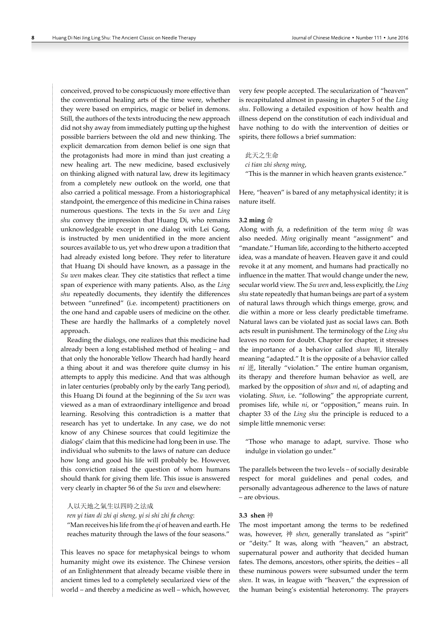conceived, proved to be conspicuously more effective than the conventional healing arts of the time were, whether they were based on empirics, magic or belief in demons. Still, the authors of the texts introducing the new approach did not shy away from immediately putting up the highest possible barriers between the old and new thinking. The explicit demarcation from demon belief is one sign that the protagonists had more in mind than just creating a new healing art. The new medicine, based exclusively on thinking aligned with natural law, drew its legitimacy from a completely new outlook on the world, one that also carried a political message. From a historiographical standpoint, the emergence of this medicine in China raises numerous questions. The texts in the *Su wen* and *Ling shu* convey the impression that Huang Di, who remains unknowledgeable except in one dialog with Lei Gong, is instructed by men unidentified in the more ancient sources available to us, yet who drew upon a tradition that had already existed long before. They refer to literature that Huang Di should have known, as a passage in the *Su wen* makes clear. They cite statistics that reflect a time span of experience with many patients. Also, as the *Ling shu* repeatedly documents, they identify the differences between "unrefined" (i.e. incompetent) practitioners on the one hand and capable users of medicine on the other. These are hardly the hallmarks of a completely novel approach.

Reading the dialogs, one realizes that this medicine had already been a long established method of healing – and that only the honorable Yellow Thearch had hardly heard a thing about it and was therefore quite clumsy in his attempts to apply this medicine. And that was although in later centuries (probably only by the early Tang period), this Huang Di found at the beginning of the *Su wen* was viewed as a man of extraordinary intelligence and broad learning. Resolving this contradiction is a matter that research has yet to undertake. In any case, we do not know of any Chinese sources that could legitimize the dialogs' claim that this medicine had long been in use. The individual who submits to the laws of nature can deduce how long and good his life will probably be. However, this conviction raised the question of whom humans should thank for giving them life. This issue is answered very clearly in chapter 56 of the *Su wen* and elsewhere:

#### 人以天地之氣生以四時之法成

#### *ren yi tian di zhi qi sheng, yi si shi zhi fa cheng*:

"Man receives his life from the *qi* of heaven and earth. He reaches maturity through the laws of the four seasons."

This leaves no space for metaphysical beings to whom humanity might owe its existence. The Chinese version of an Enlightenment that already became visible there in ancient times led to a completely secularized view of the world – and thereby a medicine as well – which, however, very few people accepted. The secularization of "heaven" is recapitulated almost in passing in chapter 5 of the *Ling shu*. Following a detailed exposition of how health and illness depend on the constitution of each individual and have nothing to do with the intervention of deities or spirits, there follows a brief summation:

#### 此天之生命

*ci tian zhi sheng ming*,

"This is the manner in which heaven grants existence."

Here, "heaven" is bared of any metaphysical identity; it is nature itself.

#### **3.2 ming** 命

Along with *fa*, a redefinition of the term *ming* 命 was also needed. *Ming* originally meant "assignment" and "mandate." Human life, according to the hitherto accepted idea, was a mandate of heaven. Heaven gave it and could revoke it at any moment, and humans had practically no influence in the matter. That would change under the new, secular world view. The *Su wen* and, less explicitly, the *Ling shu* state repeatedly that human beings are part of a system of natural laws through which things emerge, grow, and die within a more or less clearly predictable timeframe. Natural laws can be violated just as social laws can. Both acts result in punishment. The terminology of the *Ling shu* leaves no room for doubt. Chapter for chapter, it stresses the importance of a behavior called *shun* 順, literally meaning "adapted." It is the opposite of a behavior called *ni* 逆, literally "violation." The entire human organism, its therapy and therefore human behavior as well, are marked by the opposition of *shun* and *ni*, of adapting and violating. *Shun*, i.e. "following" the appropriate current, promises life, while *ni*, or "opposition," means ruin. In chapter 33 of the *Ling shu* the principle is reduced to a simple little mnemonic verse:

"Those who manage to adapt, survive. Those who indulge in violation go under."

The parallels between the two levels – of socially desirable respect for moral guidelines and penal codes, and personally advantageous adherence to the laws of nature – are obvious.

#### **3.3 shen** 神

The most important among the terms to be redefined was, however, 神 *shen*, generally translated as "spirit" or "deity." It was, along with "heaven," an abstract, supernatural power and authority that decided human fates. The demons, ancestors, other spirits, the deities – all these numinous powers were subsumed under the term *shen*. It was, in league with "heaven," the expression of the human being's existential heteronomy. The prayers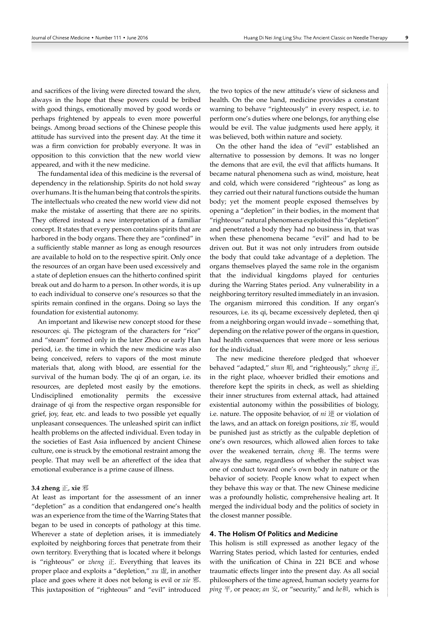and sacrifices of the living were directed toward the *shen*, always in the hope that these powers could be bribed with good things, emotionally moved by good words or perhaps frightened by appeals to even more powerful beings. Among broad sections of the Chinese people this attitude has survived into the present day. At the time it was a firm conviction for probably everyone. It was in opposition to this conviction that the new world view appeared, and with it the new medicine.

The fundamental idea of this medicine is the reversal of dependency in the relationship. Spirits do not hold sway over humans. It is the human being that controls the spirits. The intellectuals who created the new world view did not make the mistake of asserting that there are no spirits. They offered instead a new interpretation of a familiar concept. It states that every person contains spirits that are harbored in the body organs. There they are "confined" in a sufficiently stable manner as long as enough resources are available to hold on to the respective spirit. Only once the resources of an organ have been used excessively and a state of depletion ensues can the hitherto confined spirit break out and do harm to a person. In other words, it is up to each individual to conserve one's resources so that the spirits remain confined in the organs. Doing so lays the foundation for existential autonomy.

An important and likewise new concept stood for these resources: qi. The pictogram of the characters for "rice" and "steam" formed only in the later Zhou or early Han period, i.e. the time in which the new medicine was also being conceived, refers to vapors of the most minute materials that, along with blood, are essential for the survival of the human body. The qi of an organ, i.e. its resources, are depleted most easily by the emotions. Undisciplined emotionality permits the excessive drainage of qi from the respective organ responsible for grief, joy, fear, etc. and leads to two possible yet equally unpleasant consequences. The unleashed spirit can inflict health problems on the affected individual. Even today in the societies of East Asia influenced by ancient Chinese culture, one is struck by the emotional restraint among the people. That may well be an aftereffect of the idea that emotional exuberance is a prime cause of illness.

#### **3.4 zheng** 正, **xie** 邪

At least as important for the assessment of an inner "depletion" as a condition that endangered one's health was an experience from the time of the Warring States that began to be used in concepts of pathology at this time. Wherever a state of depletion arises, it is immediately exploited by neighboring forces that penetrate from their own territory. Everything that is located where it belongs is "righteous" or *zheng* 正. Everything that leaves its proper place and exploits a "depletion," *xu* 虛, in another place and goes where it does not belong is evil or *xie* 邪. This juxtaposition of "righteous" and "evil" introduced

the two topics of the new attitude's view of sickness and health. On the one hand, medicine provides a constant warning to behave "righteously" in every respect, i.e. to perform one's duties where one belongs, for anything else would be evil. The value judgments used here apply, it was believed, both within nature and society.

On the other hand the idea of "evil" established an alternative to possession by demons. It was no longer the demons that are evil, the evil that afflicts humans. It became natural phenomena such as wind, moisture, heat and cold, which were considered "righteous" as long as they carried out their natural functions outside the human body; yet the moment people exposed themselves by opening a "depletion" in their bodies, in the moment that "righteous" natural phenomena exploited this "depletion" and penetrated a body they had no business in, that was when these phenomena became "evil" and had to be driven out. But it was not only intruders from outside the body that could take advantage of a depletion. The organs themselves played the same role in the organism that the individual kingdoms played for centuries during the Warring States period. Any vulnerability in a neighboring territory resulted immediately in an invasion. The organism mirrored this condition. If any organ's resources, i.e. its qi, became excessively depleted, then qi from a neighboring organ would invade – something that, depending on the relative power of the organs in question, had health consequences that were more or less serious for the individual.

The new medicine therefore pledged that whoever behaved "adapted," *shun* 順, and "righteously," *zheng* 正, in the right place, whoever bridled their emotions and therefore kept the spirits in check, as well as shielding their inner structures from external attack, had attained existential autonomy within the possibilities of biology, i.e. nature. The opposite behavior, of *ni* 逆 or violation of the laws, and an attack on foreign positions, *xie* 邪, would be punished just as strictly as the culpable depletion of one's own resources, which allowed alien forces to take over the weakened terrain, *cheng* 乘. The terms were always the same, regardless of whether the subject was one of conduct toward one's own body in nature or the behavior of society. People know what to expect when they behave this way or that. The new Chinese medicine was a profoundly holistic, comprehensive healing art. It merged the individual body and the politics of society in the closest manner possible.

# 4. The Holism Of Politics and Medicine

This holism is still expressed as another legacy of the Warring States period, which lasted for centuries, ended with the unification of China in 221 BCE and whose traumatic effects linger into the present day. As all social philosophers of the time agreed, human society yearns for *ping* 平, or peace; *an* 安, or "security," and *he*和, which is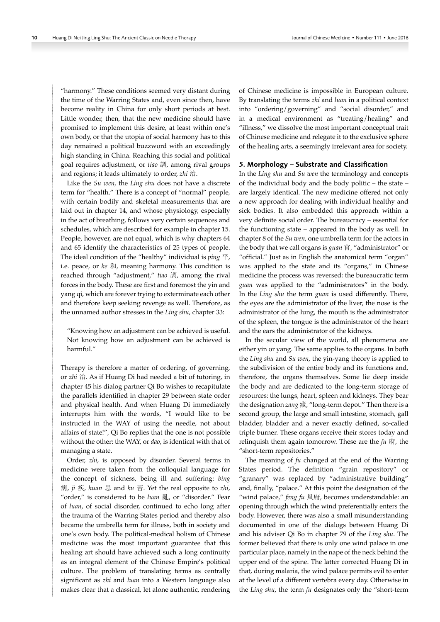"harmony." These conditions seemed very distant during the time of the Warring States and, even since then, have become reality in China for only short periods at best. Little wonder, then, that the new medicine should have promised to implement this desire, at least within one's own body, or that the utopia of social harmony has to this day remained a political buzzword with an exceedingly high standing in China. Reaching this social and political goal requires adjustment, or *tiao* 調, among rival groups and regions; it leads ultimately to order, *zhi* 治.

Like the *Su wen*, the *Ling shu* does not have a discrete term for "health." There is a concept of "normal" people, with certain bodily and skeletal measurements that are laid out in chapter 14, and whose physiology, especially in the act of breathing, follows very certain sequences and schedules, which are described for example in chapter 15. People, however, are not equal, which is why chapters 64 and 65 identify the characteristics of 25 types of people. The ideal condition of the "healthy" individual is *ping* 平, i.e. peace, or *he* 和, meaning harmony. This condition is reached through "adjustment," *tiao* 調, among the rival forces in the body. These are first and foremost the yin and yang qi, which are forever trying to exterminate each other and therefore keep seeking revenge as well. Therefore, as the unnamed author stresses in the *Ling shu*, chapter 33:

"Knowing how an adjustment can be achieved is useful. Not knowing how an adjustment can be achieved is harmful."

Therapy is therefore a matter of ordering, of governing, or *zhi* 治. As if Huang Di had needed a bit of tutoring, in chapter 45 his dialog partner Qi Bo wishes to recapitulate the parallels identified in chapter 29 between state order and physical health. And when Huang Di immediately interrupts him with the words, "I would like to be instructed in the WAY of using the needle, not about affairs of state!", Qi Bo replies that the one is not possible without the other: the WAY, or *dao*, is identical with that of managing a state.

Order, *zhi*, is opposed by disorder. Several terms in medicine were taken from the colloquial language for the concept of sickness, being ill and suffering: *bing*  病, *ji* 疾, *huan* 患 and *ku* 苦. Yet the real opposite to *zhi*, "order," is considered to be *luan* 亂, or "disorder." Fear of *luan*, of social disorder, continued to echo long after the trauma of the Warring States period and thereby also became the umbrella term for illness, both in society and one's own body. The political-medical holism of Chinese medicine was the most important guarantee that this healing art should have achieved such a long continuity as an integral element of the Chinese Empire's political culture. The problem of translating terms as centrally significant as *zhi* and *luan* into a Western language also makes clear that a classical, let alone authentic, rendering

of Chinese medicine is impossible in European culture. By translating the terms *zhi* and *luan* in a political context into "ordering/governing" and "social disorder," and in a medical environment as "treating/healing" and "illness," we dissolve the most important conceptual trait of Chinese medicine and relegate it to the exclusive sphere of the healing arts, a seemingly irrelevant area for society.

# 5. Morphology – Substrate and Classification

In the *Ling shu* and *Su wen* the terminology and concepts of the individual body and the body politic – the state – are largely identical. The new medicine offered not only a new approach for dealing with individual healthy and sick bodies. It also embedded this approach within a very definite social order. The bureaucracy – essential for the functioning state – appeared in the body as well. In chapter 8 of the *Su wen*, one umbrella term for the actors in the body that we call organs is *guan* 官, "administrator" or "official." Just as in English the anatomical term "organ" was applied to the state and its "organs," in Chinese medicine the process was reversed: the bureaucratic term *guan* was applied to the "administrators" in the body. In the *Ling shu* the term *guan* is used differently. There, the eyes are the administrator of the liver, the nose is the administrator of the lung, the mouth is the administrator of the spleen, the tongue is the administrator of the heart and the ears the administrator of the kidneys.

In the secular view of the world, all phenomena are either yin or yang. The same applies to the organs. In both the *Ling shu* and *Su wen*, the yin-yang theory is applied to the subdivision of the entire body and its functions and, therefore, the organs themselves. Some lie deep inside the body and are dedicated to the long-term storage of resources: the lungs, heart, spleen and kidneys. They bear the designation *zang* 藏, "long-term depot." Then there is a second group, the large and small intestine, stomach, gall bladder, bladder and a never exactly defined, so-called triple burner. These organs receive their stores today and relinquish them again tomorrow. These are the *fu* 府, the "short-term repositories."

The meaning of *fu* changed at the end of the Warring States period. The definition "grain repository" or "granary" was replaced by "administrative building" and, finally, "palace." At this point the designation of the "wind palace," *feng fu* 風府, becomes understandable: an opening through which the wind preferentially enters the body. However, there was also a small misunderstanding documented in one of the dialogs between Huang Di and his adviser Qi Bo in chapter 79 of the *Ling shu*. The former believed that there is only one wind palace in one particular place, namely in the nape of the neck behind the upper end of the spine. The latter corrected Huang Di in that, during malaria, the wind palace permits evil to enter at the level of a different vertebra every day. Otherwise in the *Ling shu*, the term *fu* designates only the "short-term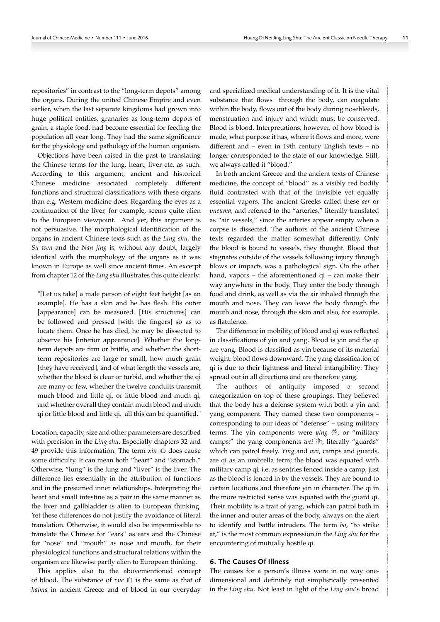repositories" in contrast to the "long-term depots" among the organs. During the united Chinese Empire and even earlier, when the last separate kingdoms had grown into huge political entities, granaries as long-term depots of grain, a staple food, had become essential for feeding the population all year long. They had the same significance for the physiology and pathology of the human organism.

Objections have been raised in the past to translating the Chinese terms for the lung, heart, liver etc. as such. According to this argument, ancient and historical Chinese medicine associated completely different functions and structural classifications with these organs than e.g. Western medicine does. Regarding the eyes as a continuation of the liver, for example, seems quite alien to the European viewpoint. And yet, this argument is not persuasive. The morphological identification of the organs in ancient Chinese texts such as the *Ling shu*, the *Su wen* and the *Nan jing* is, without any doubt, largely identical with the morphology of the organs as it was known in Europe as well since ancient times. An excerpt from chapter 12 of the *Ling shu* illustrates this quite clearly:

"[Let us take] a male person of eight feet height [as an example]. He has a skin and he has flesh. His outer [appearance] can be measured. [His structures] can be followed and pressed [with the fingers] so as to locate them. Once he has died, he may be dissected to observe his [interior appearance]. Whether the longterm depots are firm or brittle, and whether the shortterm repositories are large or small, how much grain [they have received], and of what length the vessels are, whether the blood is clear or turbid, and whether the qi are many or few, whether the twelve conduits transmit much blood and little qi, or little blood and much qi, and whether overall they contain much blood and much qi or little blood and little qi, all this can be quantified."

Location, capacity, size and other parameters are described with precision in the *Ling shu*. Especially chapters 32 and 49 provide this information. The term *xin* 心 does cause some difficulty. It can mean both "heart" and "stomach." Otherwise, "lung" is the lung and "liver" is the liver. The difference lies essentially in the attribution of functions and in the presumed inner relationships. Interpreting the heart and small intestine as a pair in the same manner as the liver and gallbladder is alien to European thinking. Yet these differences do not justify the avoidance of literal translation. Otherwise, it would also be impermissible to translate the Chinese for "ears" as ears and the Chinese for "nose" and "mouth" as nose and mouth, for their physiological functions and structural relations within the organism are likewise partly alien to European thinking.

This applies also to the abovementioned concept of blood. The substance of *xue* 血 is the same as that of *haima* in ancient Greece and of blood in our everyday

and specialized medical understanding of it. It is the vital substance that flows through the body, can coagulate within the body, flows out of the body during nosebleeds, menstruation and injury and which must be conserved. Blood is blood. Interpretations, however, of how blood is made, what purpose it has, where it flows and more, were different and – even in 19th century English texts – no longer corresponded to the state of our knowledge. Still, we always called it "blood."

In both ancient Greece and the ancient texts of Chinese medicine, the concept of "blood" as a visibly red bodily fluid contrasted with that of the invisible yet equally essential vapors. The ancient Greeks called these *aer* or *pneuma*, and referred to the "arteries," literally translated as "air vessels," since the arteries appear empty when a corpse is dissected. The authors of the ancient Chinese texts regarded the matter somewhat differently. Only the blood is bound to vessels, they thought. Blood that stagnates outside of the vessels following injury through blows or impacts was a pathological sign. On the other hand, vapors – the aforementioned qi – can make their way anywhere in the body. They enter the body through food and drink, as well as via the air inhaled through the mouth and nose. They can leave the body through the mouth and nose, through the skin and also, for example, as flatulence.

The difference in mobility of blood and qi was reflected in classifications of yin and yang. Blood is yin and the qi are yang. Blood is classified as yin because of its material weight: blood flows downward. The yang classification of qi is due to their lightness and literal intangibility: They spread out in all directions and are therefore yang.

The authors of antiquity imposed a second categorization on top of these groupings. They believed that the body has a defense system with both a yin and yang component. They named these two components – corresponding to our ideas of "defense" – using military terms. The yin components were *ying* 營, or "military camps;" the yang components *wei* 衛, literally "guards" which can patrol freely. *Ying* and *wei*, camps and guards, are qi as an umbrella term; the blood was equated with military camp qi, i.e. as sentries fenced inside a camp, just as the blood is fenced in by the vessels. They are bound to certain locations and therefore yin in character. The qi in the more restricted sense was equated with the guard qi. Their mobility is a trait of yang, which can patrol both in the inner and outer areas of the body, always on the alert to identify and battle intruders. The term *bo*, "to strike at," is the most common expression in the *Ling shu* for the encountering of mutually hostile qi.

#### 6. The Causes Of Illness

The causes for a person's illness were in no way onedimensional and definitely not simplistically presented in the *Ling shu*. Not least in light of the *Ling shu*'s broad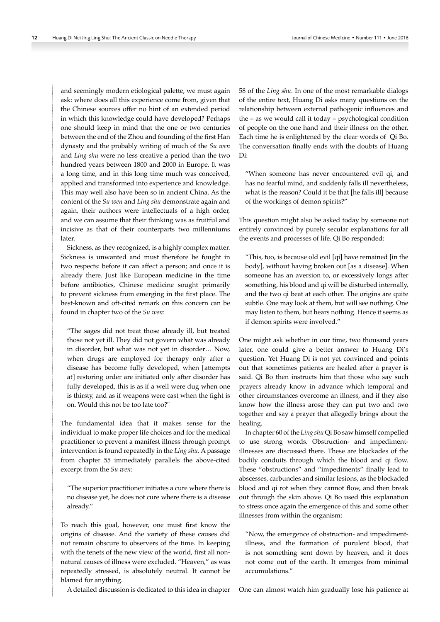and seemingly modern etiological palette, we must again ask: where does all this experience come from, given that the Chinese sources offer no hint of an extended period in which this knowledge could have developed? Perhaps one should keep in mind that the one or two centuries between the end of the Zhou and founding of the first Han dynasty and the probably writing of much of the *Su wen* and *Ling shu* were no less creative a period than the two hundred years between 1800 and 2000 in Europe. It was a long time, and in this long time much was conceived, applied and transformed into experience and knowledge. This may well also have been so in ancient China. As the content of the *Su wen* and *Ling shu* demonstrate again and again, their authors were intellectuals of a high order, and we can assume that their thinking was as fruitful and incisive as that of their counterparts two millenniums later.

Sickness, as they recognized, is a highly complex matter. Sickness is unwanted and must therefore be fought in two respects: before it can affect a person; and once it is already there. Just like European medicine in the time before antibiotics, Chinese medicine sought primarily to prevent sickness from emerging in the first place. The best-known and oft-cited remark on this concern can be found in chapter two of the *Su wen*:

"The sages did not treat those already ill, but treated those not yet ill. They did not govern what was already in disorder, but what was not yet in disorder… Now, when drugs are employed for therapy only after a disease has become fully developed, when [attempts at] restoring order are initiated only after disorder has fully developed, this is as if a well were dug when one is thirsty, and as if weapons were cast when the fight is on. Would this not be too late too?"

The fundamental idea that it makes sense for the individual to make proper life choices and for the medical practitioner to prevent a manifest illness through prompt intervention is found repeatedly in the *Ling shu*. A passage from chapter 55 immediately parallels the above-cited excerpt from the *Su wen*:

"The superior practitioner initiates a cure where there is no disease yet, he does not cure where there is a disease already."

To reach this goal, however, one must first know the origins of disease. And the variety of these causes did not remain obscure to observers of the time. In keeping with the tenets of the new view of the world, first all nonnatural causes of illness were excluded. "Heaven," as was repeatedly stressed, is absolutely neutral. It cannot be blamed for anything.

A detailed discussion is dedicated to this idea in chapter

58 of the *Ling shu*. In one of the most remarkable dialogs of the entire text, Huang Di asks many questions on the relationship between external pathogenic influences and the – as we would call it today – psychological condition of people on the one hand and their illness on the other. Each time he is enlightened by the clear words of Qi Bo. The conversation finally ends with the doubts of Huang Di:

"When someone has never encountered evil qi, and has no fearful mind, and suddenly falls ill nevertheless, what is the reason? Could it be that [he falls ill] because of the workings of demon spirits?"

This question might also be asked today by someone not entirely convinced by purely secular explanations for all the events and processes of life. Qi Bo responded:

"This, too, is because old evil [qi] have remained [in the body], without having broken out [as a disease]. When someone has an aversion to, or excessively longs after something, his blood and qi will be disturbed internally, and the two qi beat at each other. The origins are quite subtle. One may look at them, but will see nothing. One may listen to them, but hears nothing. Hence it seems as if demon spirits were involved."

One might ask whether in our time, two thousand years later, one could give a better answer to Huang Di's question. Yet Huang Di is not yet convinced and points out that sometimes patients are healed after a prayer is said. Qi Bo then instructs him that those who say such prayers already know in advance which temporal and other circumstances overcome an illness, and if they also know how the illness arose they can put two and two together and say a prayer that allegedly brings about the healing.

In chapter 60 of the *Ling shu* Qi Bo saw himself compelled to use strong words. Obstruction- and impedimentillnesses are discussed there. These are blockades of the bodily conduits through which the blood and qi flow. These "obstructions" and "impediments" finally lead to abscesses, carbuncles and similar lesions, as the blockaded blood and qi rot when they cannot flow, and then break out through the skin above. Qi Bo used this explanation to stress once again the emergence of this and some other illnesses from within the organism:

"Now, the emergence of obstruction- and impedimentillness, and the formation of purulent blood, that is not something sent down by heaven, and it does not come out of the earth. It emerges from minimal accumulations."

One can almost watch him gradually lose his patience at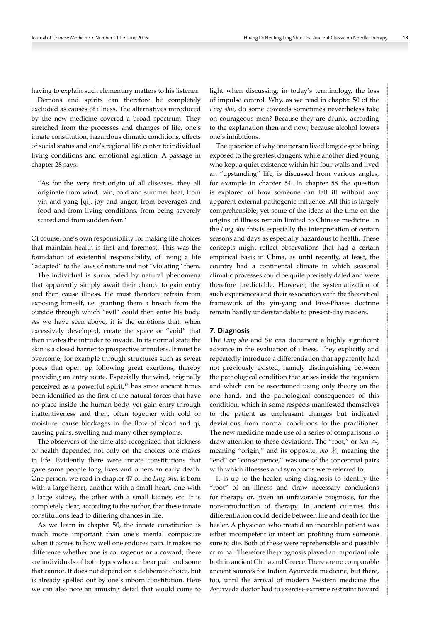having to explain such elementary matters to his listener.

Demons and spirits can therefore be completely excluded as causes of illness. The alternatives introduced by the new medicine covered a broad spectrum. They stretched from the processes and changes of life, one's innate constitution, hazardous climatic conditions, effects of social status and one's regional life center to individual living conditions and emotional agitation. A passage in chapter 28 says:

"As for the very first origin of all diseases, they all originate from wind, rain, cold and summer heat, from yin and yang [qi], joy and anger, from beverages and food and from living conditions, from being severely scared and from sudden fear."

Of course, one's own responsibility for making life choices that maintain health is first and foremost. This was the foundation of existential responsibility, of living a life "adapted" to the laws of nature and not "violating" them.

The individual is surrounded by natural phenomena that apparently simply await their chance to gain entry and then cause illness. He must therefore refrain from exposing himself, i.e. granting them a breach from the outside through which "evil" could then enter his body. As we have seen above, it is the emotions that, when excessively developed, create the space or "void" that then invites the intruder to invade. In its normal state the skin is a closed barrier to prospective intruders. It must be overcome, for example through structures such as sweat pores that open up following great exertions, thereby providing an entry route. Especially the wind, originally perceived as a powerful spirit,<sup>12</sup> has since ancient times been identified as the first of the natural forces that have no place inside the human body, yet gain entry through inattentiveness and then, often together with cold or moisture, cause blockages in the flow of blood and qi, causing pains, swelling and many other symptoms.

The observers of the time also recognized that sickness or health depended not only on the choices one makes in life. Evidently there were innate constitutions that gave some people long lives and others an early death. One person, we read in chapter 47 of the *Ling shu*, is born with a large heart, another with a small heart, one with a large kidney, the other with a small kidney, etc. It is completely clear, according to the author, that these innate constitutions lead to differing chances in life.

As we learn in chapter 50, the innate constitution is much more important than one's mental composure when it comes to how well one endures pain. It makes no difference whether one is courageous or a coward; there are individuals of both types who can bear pain and some that cannot. It does not depend on a deliberate choice, but is already spelled out by one's inborn constitution. Here we can also note an amusing detail that would come to

light when discussing, in today's terminology, the loss of impulse control. Why, as we read in chapter 50 of the *Ling shu*, do some cowards sometimes nevertheless take on courageous men? Because they are drunk, according to the explanation then and now; because alcohol lowers one's inhibitions.

The question of why one person lived long despite being exposed to the greatest dangers, while another died young who kept a quiet existence within his four walls and lived an "upstanding" life, is discussed from various angles, for example in chapter 54. In chapter 58 the question is explored of how someone can fall ill without any apparent external pathogenic influence. All this is largely comprehensible, yet some of the ideas at the time on the origins of illness remain limited to Chinese medicine. In the *Ling shu* this is especially the interpretation of certain seasons and days as especially hazardous to health. These concepts might reflect observations that had a certain empirical basis in China, as until recently, at least, the country had a continental climate in which seasonal climatic processes could be quite precisely dated and were therefore predictable. However, the systematization of such experiences and their association with the theoretical framework of the yin-yang and Five-Phases doctrine remain hardly understandable to present-day readers.

#### 7. Diagnosis

The *Ling shu* and *Su wen* document a highly significant advance in the evaluation of illness. They explicitly and repeatedly introduce a differentiation that apparently had not previously existed, namely distinguishing between the pathological condition that arises inside the organism and which can be ascertained using only theory on the one hand, and the pathological consequences of this condition, which in some respects manifested themselves to the patient as unpleasant changes but indicated deviations from normal conditions to the practitioner. The new medicine made use of a series of comparisons to draw attention to these deviations. The "root," or *ben* 本, meaning "origin," and its opposite, *mo* 末, meaning the "end" or "consequence," was one of the conceptual pairs with which illnesses and symptoms were referred to.

It is up to the healer, using diagnosis to identify the "root" of an illness and draw necessary conclusions for therapy or, given an unfavorable prognosis, for the non-introduction of therapy. In ancient cultures this differentiation could decide between life and death for the healer. A physician who treated an incurable patient was either incompetent or intent on profiting from someone sure to die. Both of these were reprehensible and possibly criminal. Therefore the prognosis played an important role both in ancient China and Greece. There are no comparable ancient sources for Indian Ayurveda medicine, but there, too, until the arrival of modern Western medicine the Ayurveda doctor had to exercise extreme restraint toward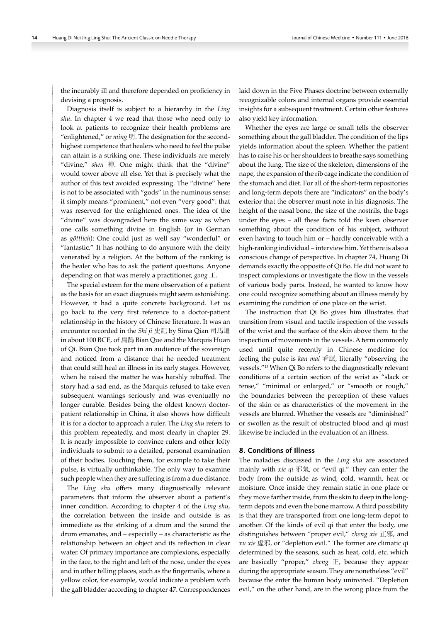the incurably ill and therefore depended on proficiency in devising a prognosis.

Diagnosis itself is subject to a hierarchy in the *Ling shu*. In chapter 4 we read that those who need only to look at patients to recognize their health problems are "enlightened," or *ming* 明. The designation for the secondhighest competence that healers who need to feel the pulse can attain is a striking one. These individuals are merely "divine," *shen* 神. One might think that the "divine" would tower above all else. Yet that is precisely what the author of this text avoided expressing. The "divine" here is not to be associated with "gods" in the numinous sense; it simply means "prominent," not even "very good": that was reserved for the enlightened ones. The idea of the "divine" was downgraded here the same way as when one calls something divine in English (or in German as *göttlich*): One could just as well say "wonderful" or "fantastic." It has nothing to do anymore with the deity venerated by a religion. At the bottom of the ranking is the healer who has to ask the patient questions. Anyone depending on that was merely a practitioner, *gong* 工.

The special esteem for the mere observation of a patient as the basis for an exact diagnosis might seem astonishing. However, it had a quite concrete background. Let us go back to the very first reference to a doctor-patient relationship in the history of Chinese literature. It was an encounter recorded in the *Shi ji* 史記 by Sima Qian 司馬遷 in about 100 BCE, of 扁鵲 Bian Que and the Marquis Huan of Qi. Bian Que took part in an audience of the sovereign and noticed from a distance that he needed treatment that could still heal an illness in its early stages. However, when he raised the matter he was harshly rebuffed. The story had a sad end, as the Marquis refused to take even subsequent warnings seriously and was eventually no longer curable. Besides being the oldest known doctorpatient relationship in China, it also shows how difficult it is for a doctor to approach a ruler. The *Ling shu* refers to this problem repeatedly, and most clearly in chapter 29. It is nearly impossible to convince rulers and other lofty individuals to submit to a detailed, personal examination of their bodies. Touching them, for example to take their pulse, is virtually unthinkable. The only way to examine such people when they are suffering is from a due distance.

The *Ling shu* offers many diagnostically relevant parameters that inform the observer about a patient's inner condition. According to chapter 4 of the *Ling shu*, the correlation between the inside and outside is as immediate as the striking of a drum and the sound the drum emanates, and – especially – as characteristic as the relationship between an object and its reflection in clear water. Of primary importance are complexions, especially in the face, to the right and left of the nose, under the eyes and in other telling places, such as the fingernails, where a yellow color, for example, would indicate a problem with the gall bladder according to chapter 47. Correspondences laid down in the Five Phases doctrine between externally recognizable colors and internal organs provide essential insights for a subsequent treatment. Certain other features also yield key information.

Whether the eyes are large or small tells the observer something about the gall bladder. The condition of the lips yields information about the spleen. Whether the patient has to raise his or her shoulders to breathe says something about the lung. The size of the skeleton, dimensions of the nape, the expansion of the rib cage indicate the condition of the stomach and diet. For all of the short-term repositories and long-term depots there are "indicators" on the body's exterior that the observer must note in his diagnosis. The height of the nasal bone, the size of the nostrils, the bags under the eyes – all these facts told the keen observer something about the condition of his subject, without even having to touch him or – hardly conceivable with a high-ranking individual – interview him. Yet there is also a conscious change of perspective. In chapter 74, Huang Di demands exactly the opposite of Qi Bo. He did not want to inspect complexions or investigate the flow in the vessels of various body parts. Instead, he wanted to know how one could recognize something about an illness merely by examining the condition of one place on the wrist.

The instruction that Qi Bo gives him illustrates that transition from visual and tactile inspection of the vessels of the wrist and the surface of the skin above them to the inspection of movements in the vessels. A term commonly used until quite recently in Chinese medicine for feeling the pulse is *kan mai* 看脈, literally "observing the vessels."<sup>13</sup> When Qi Bo refers to the diagnostically relevant conditions of a certain section of the wrist as "slack or tense," "minimal or enlarged," or "smooth or rough," the boundaries between the perception of these values of the skin or as characteristics of the movement in the vessels are blurred. Whether the vessels are "diminished" or swollen as the result of obstructed blood and qi must likewise be included in the evaluation of an illness.

# 8. Conditions of Illness

The maladies discussed in the *Ling shu* are associated mainly with *xie qi* 邪氣, or "evil qi." They can enter the body from the outside as wind, cold, warmth, heat or moisture. Once inside they remain static in one place or they move farther inside, from the skin to deep in the longterm depots and even the bone marrow. A third possibility is that they are transported from one long-term depot to another. Of the kinds of evil qi that enter the body, one distinguishes between "proper evil," *zheng xie* 正邪, and *xu xie* 虛邪, or "depletion evil." The former are climatic qi determined by the seasons, such as heat, cold, etc. which are basically "proper," *zheng* 正, because they appear during the appropriate season. They are nonetheless "evil" because the enter the human body uninvited. "Depletion evil," on the other hand, are in the wrong place from the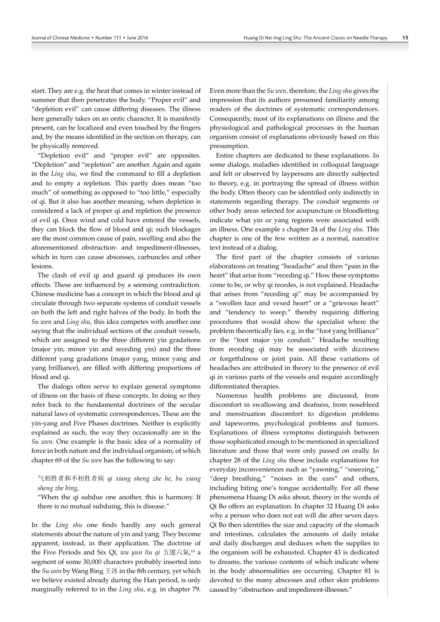start. They are e.g. the heat that comes in winter instead of summer that then penetrates the body. "Proper evil" and "depletion evil" can cause differing diseases. The illness here generally takes on an ontic character. It is manifestly present, can be localized and even touched by the fingers and, by the means identified in the section on therapy, can be physically removed.

"Depletion evil" and "proper evil" are opposites. "Depletion" and "repletion" are another. Again and again in the *Ling shu*, we find the command to fill a depletion and to empty a repletion. This partly does mean "too much" of something as opposed to "too little," especially of qi. But it also has another meaning, when depletion is considered a lack of proper qi and repletion the presence of evil qi. Once wind and cold have entered the vessels, they can block the flow of blood and qi; such blockages are the most common cause of pain, swelling and also the aforementioned obstruction- and impediment-illnesses, which in turn can cause abscesses, carbuncles and other lesions.

The clash of evil qi and guard qi produces its own effects. These are influenced by a seeming contradiction. Chinese medicine has a concept in which the blood and qi circulate through two separate systems of conduit vessels on both the left and right halves of the body. In both the *Su wen* and *Ling shu*, this idea competes with another one saying that the individual sections of the conduit vessels, which are assigned to the three different yin gradations (major yin, minor yin and receding yin) and the three different yang gradations (major yang, minor yang and yang brilliance), are filled with differing proportions of blood and qi.

The dialogs often serve to explain general symptoms of illness on the basis of these concepts. In doing so they refer back to the fundamental doctrines of the secular natural laws of systematic correspondences. These are the yin-yang and Five Phases doctrines. Neither is explicitly explained as such, the way they occasionally are in the *Su wen*. One example is the basic idea of a normality of force in both nature and the individual organism, of which chapter 69 of the *Su wen* has the following to say:

气相胜者和不相胜者病 *qi xiang sheng zhe he, bu xiang sheng zhe bing*,

"When the qi subdue one another, this is harmony. If there is no mutual subduing, this is disease."

In the *Ling shu* one finds hardly any such general statements about the nature of yin and yang. They become apparent, instead, in their application. The doctrine of the Five Periods and Six Qi, *wu yun liu qi* 五運六氣, 14 a segment of some 30,000 characters probably inserted into the *Su wen* by Wang Bing 王冰 in the 8th century, yet which we believe existed already during the Han period, is only marginally referred to in the *Ling shu*, e.g. in chapter 79.

Even more than the *Su wen*, therefore, the *Ling shu* gives the impression that its authors presumed familiarity among readers of the doctrines of systematic correspondences. Consequently, most of its explanations on illness and the physiological and pathological processes in the human organism consist of explanations obviously based on this presumption.

Entire chapters are dedicated to these explanations. In some dialogs, maladies identified in colloquial language and felt or observed by laypersons are directly subjected to theory, e.g. in portraying the spread of illness within the body. Often theory can be identified only indirectly in statements regarding therapy. The conduit segments or other body areas selected for acupuncture or bloodletting indicate what yin or yang regions were associated with an illness. One example s chapter 24 of the *Ling shu*. This chapter is one of the few written as a normal, narrative text instead of a dialog.

The first part of the chapter consists of various elaborations on treating "headache" and then "pain in the heart" that arise from "receding qi." How these symptoms come to be, or why qi recedes, is not explained. Headache that arises from "receding qi" may be accompanied by a "swollen face and vexed heart" or a "grievous heart" and "tendency to weep," thereby requiring differing procedures that would show the specialist where the problem theoretically lies, e.g. in the "foot yang brilliance" or the "foot major yin conduit." Headache resulting from receding qi may be associated with dizziness or forgetfulness or joint pain. All these variations of headaches are attributed in theory to the presence of evil qi in various parts of the vessels and require accordingly differentiated therapies.

Numerous health problems are discussed, from discomfort in swallowing and deafness, from nosebleed and menstruation discomfort to digestion problems and tapeworms, psychological problems and tumors. Explanations of illness symptoms distinguish between those sophisticated enough to be mentioned in specialized literature and those that were only passed on orally. In chapter 28 of the *Ling shu* these include explanations for everyday inconveniences such as "yawning," "sneezing," "deep breathing," "noises in the ears" and others, including biting one's tongue accidentally. For all these phenomena Huang Di asks about, theory in the words of Qi Bo offers an explanation. In chapter 32 Huang Di asks why a person who does not eat will die after seven days. Qi Bo then identifies the size and capacity of the stomach and intestines, calculates the amounts of daily intake and daily discharges and deduces when the supplies to the organism will be exhausted. Chapter 43 is dedicated to dreams, the various contents of which indicate where in the body abnormalities are occurring. Chapter 81 is devoted to the many abscesses and other skin problems caused by "obstruction- and impediment-illnesses."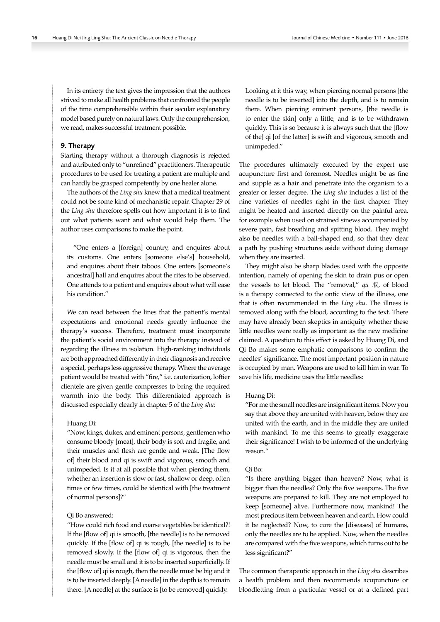In its entirety the text gives the impression that the authors strived to make all health problems that confronted the people of the time comprehensible within their secular explanatory model based purely on natural laws. Only the comprehension, we read, makes successful treatment possible.

#### 9. Therapy

Starting therapy without a thorough diagnosis is rejected and attributed only to "unrefined" practitioners. Therapeutic procedures to be used for treating a patient are multiple and can hardly be grasped competently by one healer alone.

The authors of the *Ling shu* knew that a medical treatment could not be some kind of mechanistic repair. Chapter 29 of the *Ling shu* therefore spells out how important it is to find out what patients want and what would help them. The author uses comparisons to make the point.

"One enters a [foreign] country, and enquires about its customs. One enters [someone else's] household, and enquires about their taboos. One enters [someone's ancestral] hall and enquires about the rites to be observed. One attends to a patient and enquires about what will ease his condition."

We can read between the lines that the patient's mental expectations and emotional needs greatly influence the therapy's success. Therefore, treatment must incorporate the patient's social environment into the therapy instead of regarding the illness in isolation. High-ranking individuals are both approached differently in their diagnosis and receive a special, perhaps less aggressive therapy. Where the average patient would be treated with "fire," i.e. cauterization, loftier clientele are given gentle compresses to bring the required warmth into the body. This differentiated approach is discussed especially clearly in chapter 5 of the *Ling shu*:

#### Huang Di:

"Now, kings, dukes, and eminent persons, gentlemen who consume bloody [meat], their body is soft and fragile, and their muscles and flesh are gentle and weak. [The flow of] their blood and qi is swift and vigorous, smooth and unimpeded. Is it at all possible that when piercing them, whether an insertion is slow or fast, shallow or deep, often times or few times, could be identical with [the treatment of normal persons]?"

#### Qi Bo answered:

"How could rich food and coarse vegetables be identical?! If the [flow of] qi is smooth, [the needle] is to be removed quickly. If the [flow of] qi is rough, [the needle] is to be removed slowly. If the [flow of] qi is vigorous, then the needle must be small and it is to be inserted superficially. If the [flow of] qi is rough, then the needle must be big and it is to be inserted deeply. [A needle] in the depth is to remain there. [A needle] at the surface is [to be removed] quickly.

Looking at it this way, when piercing normal persons [the needle is to be inserted] into the depth, and is to remain there. When piercing eminent persons, [the needle is to enter the skin] only a little, and is to be withdrawn quickly. This is so because it is always such that the [flow of the] qi [of the latter] is swift and vigorous, smooth and unimpeded."

The procedures ultimately executed by the expert use acupuncture first and foremost. Needles might be as fine and supple as a hair and penetrate into the organism to a greater or lesser degree. The *Ling shu* includes a list of the nine varieties of needles right in the first chapter. They might be heated and inserted directly on the painful area, for example when used on strained sinews accompanied by severe pain, fast breathing and spitting blood. They might also be needles with a ball-shaped end, so that they clear a path by pushing structures aside without doing damage when they are inserted.

They might also be sharp blades used with the opposite intention, namely of opening the skin to drain pus or open the vessels to let blood. The "removal," *qu* 取, of blood is a therapy connected to the ontic view of the illness, one that is often recommended in the *Ling shu*. The illness is removed along with the blood, according to the text. There may have already been skeptics in antiquity whether these little needles were really as important as the new medicine claimed. A question to this effect is asked by Huang Di, and Qi Bo makes some emphatic comparisons to confirm the needles' significance. The most important position in nature is occupied by man. Weapons are used to kill him in war. To save his life, medicine uses the little needles:

#### Huang Di:

"For me the small needles are insignificant items. Now you say that above they are united with heaven, below they are united with the earth, and in the middle they are united with mankind. To me this seems to greatly exaggerate their significance! I wish to be informed of the underlying reason."

#### Qi Bo:

"Is there anything bigger than heaven? Now, what is bigger than the needles? Only the five weapons. The five weapons are prepared to kill. They are not employed to keep [someone] alive. Furthermore now, mankind! The most precious item between heaven and earth. How could it be neglected? Now, to cure the [diseases] of humans, only the needles are to be applied. Now, when the needles are compared with the five weapons, which turns out to be less significant?"

The common therapeutic approach in the *Ling shu* describes a health problem and then recommends acupuncture or bloodletting from a particular vessel or at a defined part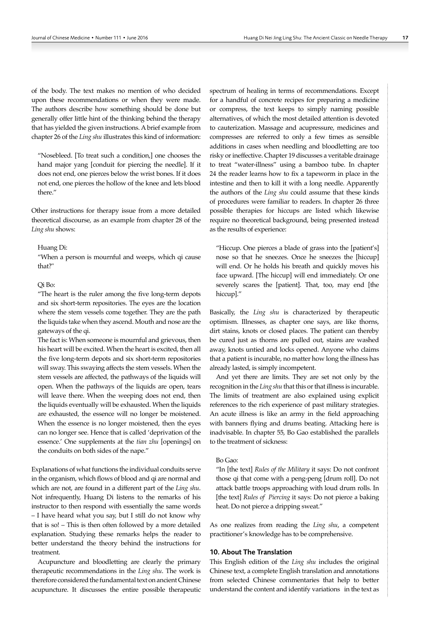of the body. The text makes no mention of who decided upon these recommendations or when they were made. The authors describe how something should be done but generally offer little hint of the thinking behind the therapy that has yielded the given instructions. A brief example from chapter 26 of the *Ling shu* illustrates this kind of information:

"Nosebleed. [To treat such a condition,] one chooses the hand major yang [conduit for piercing the needle]. If it does not end, one pierces below the wrist bones. If it does not end, one pierces the hollow of the knee and lets blood there."

Other instructions for therapy issue from a more detailed theoretical discourse, as an example from chapter 28 of the *Ling shu* shows:

#### Huang Di:

"When a person is mournful and weeps, which qi cause that?"

# Qi Bo:

"The heart is the ruler among the five long-term depots and six short-term repositories. The eyes are the location where the stem vessels come together. They are the path the liquids take when they ascend. Mouth and nose are the gateways of the qi.

The fact is: When someone is mournful and grievous, then his heart will be excited. When the heart is excited, then all the five long-term depots and six short-term repositories will sway. This swaying affects the stem vessels. When the stem vessels are affected, the pathways of the liquids will open. When the pathways of the liquids are open, tears will leave there. When the weeping does not end, then the liquids eventually will be exhausted. When the liquids are exhausted, the essence will no longer be moistened. When the essence is no longer moistened, then the eyes can no longer see. Hence that is called 'deprivation of the essence.' One supplements at the *tian zhu* [openings] on the conduits on both sides of the nape."

Explanations of what functions the individual conduits serve in the organism, which flows of blood and qi are normal and which are not, are found in a different part of the *Ling shu*. Not infrequently, Huang Di listens to the remarks of his instructor to then respond with essentially the same words – I have heard what you say, but I still do not know why that is so! – This is then often followed by a more detailed explanation. Studying these remarks helps the reader to better understand the theory behind the instructions for treatment.

Acupuncture and bloodletting are clearly the primary therapeutic recommendations in the *Ling shu*. The work is therefore considered the fundamental text on ancient Chinese acupuncture. It discusses the entire possible therapeutic spectrum of healing in terms of recommendations. Except for a handful of concrete recipes for preparing a medicine or compress, the text keeps to simply naming possible alternatives, of which the most detailed attention is devoted to cauterization. Massage and acupressure, medicines and compresses are referred to only a few times as sensible additions in cases when needling and bloodletting are too risky or ineffective. Chapter 19 discusses a veritable drainage to treat "water-illness" using a bamboo tube. In chapter 24 the reader learns how to fix a tapeworm in place in the intestine and then to kill it with a long needle. Apparently the authors of the *Ling shu* could assume that these kinds of procedures were familiar to readers. In chapter 26 three possible therapies for hiccups are listed which likewise require no theoretical background, being presented instead as the results of experience:

"Hiccup. One pierces a blade of grass into the [patient's] nose so that he sneezes. Once he sneezes the [hiccup] will end. Or he holds his breath and quickly moves his face upward. [The hiccup] will end immediately. Or one severely scares the [patient]. That, too, may end [the hiccup]."

Basically, the *Ling shu* is characterized by therapeutic optimism. Illnesses, as chapter one says, are like thorns, dirt stains, knots or closed places. The patient can thereby be cured just as thorns are pulled out, stains are washed away, knots untied and locks opened. Anyone who claims that a patient is incurable, no matter how long the illness has already lasted, is simply incompetent.

And yet there are limits. They are set not only by the recognition in the *Ling shu* that this or that illness is incurable. The limits of treatment are also explained using explicit references to the rich experience of past military strategies. An acute illness is like an army in the field approaching with banners flying and drums beating. Attacking here is inadvisable. In chapter 55, Bo Gao established the parallels to the treatment of sickness:

#### Bo Gao:

"In [the text] *Rules of the Military* it says: Do not confront those qi that come with a peng-peng [drum roll]. Do not attack battle troops approaching with loud drum rolls. In [the text] *Rules of Piercing* it says: Do not pierce a baking heat. Do not pierce a dripping sweat."

As one realizes from reading the *Ling shu*, a competent practitioner's knowledge has to be comprehensive.

# 10. About The Translation

This English edition of the *Ling shu* includes the original Chinese text, a complete English translation and annotations from selected Chinese commentaries that help to better understand the content and identify variations in the text as